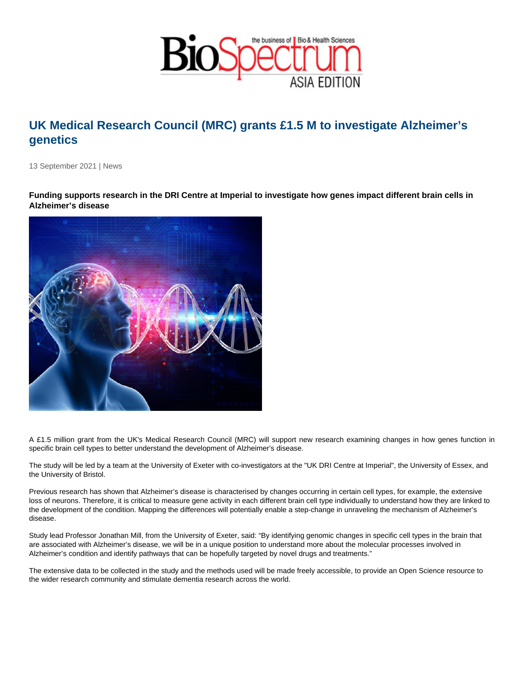## UK Medical Research Council (MRC) grants £1.5 M to investigate Alzheimer's genetics

13 September 2021 | News

Funding supports research in the DRI Centre at Imperial to investigate how genes impact different brain cells in Alzheimer's disease

A £1.5 million grant from the UK's Medical Research Council (MRC) will support new research examining changes in how genes function in specific brain cell types to better understand the development of Alzheimer's disease.

The study will be led by a team at the University of Exeter with co-investigators at the "UK DRI Centre at Imperial", the University of Essex, and the University of Bristol.

Previous research has shown that Alzheimer's disease is characterised by changes occurring in certain cell types, for example, the extensive loss of neurons. Therefore, it is critical to measure gene activity in each different brain cell type individually to understand how they are linked to the development of the condition. Mapping the differences will potentially enable a step-change in unraveling the mechanism of Alzheimer's disease.

Study lead Professor Jonathan Mill, from the University of Exeter, said: "By identifying genomic changes in specific cell types in the brain that are associated with Alzheimer's disease, we will be in a unique position to understand more about the molecular processes involved in Alzheimer's condition and identify pathways that can be hopefully targeted by novel drugs and treatments."

The extensive data to be collected in the study and the methods used will be made freely accessible, to provide an Open Science resource to the wider research community and stimulate dementia research across the world.